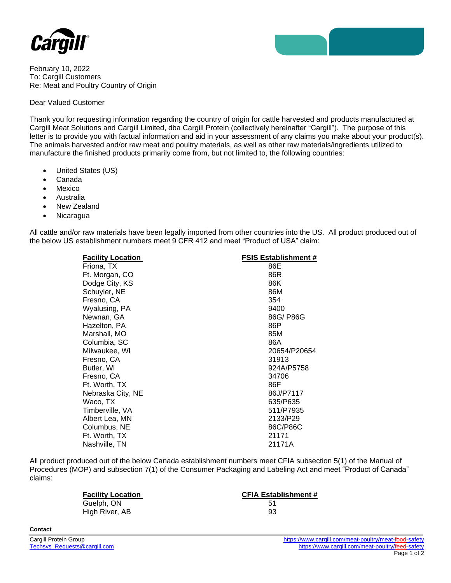

February 10, 2022 To: Cargill Customers Re: Meat and Poultry Country of Origin

## Dear Valued Customer

Thank you for requesting information regarding the country of origin for cattle harvested and products manufactured at Cargill Meat Solutions and Cargill Limited, dba Cargill Protein (collectively hereinafter "Cargill"). The purpose of this letter is to provide you with factual information and aid in your assessment of any claims you make about your product(s). The animals harvested and/or raw meat and poultry materials, as well as other raw materials/ingredients utilized to manufacture the finished products primarily come from, but not limited to, the following countries:

- United States (US)
- Canada
- Mexico
- Australia
- New Zealand
- Nicaragua

All cattle and/or raw materials have been legally imported from other countries into the US. All product produced out of the below US establishment numbers meet 9 CFR 412 and meet "Product of USA" claim:

| <b>Facility Location</b> | <b>FSIS Establishment #</b> |
|--------------------------|-----------------------------|
| Friona, TX               | 86E                         |
| Ft. Morgan, CO           | 86R                         |
| Dodge City, KS           | 86K                         |
| Schuyler, NE             | 86M                         |
| Fresno, CA               | 354                         |
| Wyalusing, PA            | 9400                        |
| Newnan, GA               | 86G/P86G                    |
| Hazelton, PA             | 86P                         |
| Marshall, MO             | 85M                         |
| Columbia, SC             | 86A                         |
| Milwaukee, WI            | 20654/P20654                |
| Fresno, CA               | 31913                       |
| Butler, WI               | 924A/P5758                  |
| Fresno, CA               | 34706                       |
| Ft. Worth, TX            | 86F                         |
| Nebraska City, NE        | 86J/P7117                   |
| Waco, TX                 | 635/P635                    |
| Timberville, VA          | 511/P7935                   |
| Albert Lea, MN           | 2133/P29                    |
| Columbus, NE             | 86C/P86C                    |
| Ft. Worth, TX            | 21171                       |
| Nashville, TN            | 21171A                      |
|                          |                             |

All product produced out of the below Canada establishment numbers meet CFIA subsection 5(1) of the Manual of Procedures (MOP) and subsection 7(1) of the Consumer Packaging and Labeling Act and meet "Product of Canada" claims:

| <b>Facility Location</b> | <b>CFIA Establishment #</b> |
|--------------------------|-----------------------------|
| Guelph, ON               | .51                         |
| High River, AB           | 93                          |